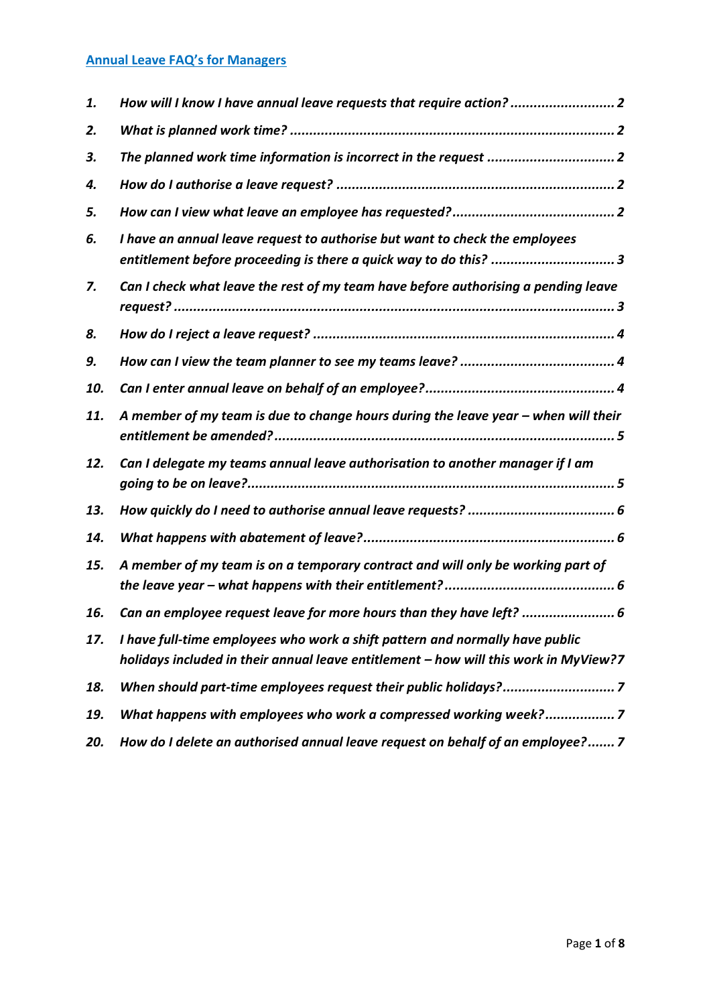# **Annual Leave FAQ's for Managers**

| 1.  | How will I know I have annual leave requests that require action? 2                                                                                                  |
|-----|----------------------------------------------------------------------------------------------------------------------------------------------------------------------|
| 2.  |                                                                                                                                                                      |
| 3.  | The planned work time information is incorrect in the request  2                                                                                                     |
| 4.  |                                                                                                                                                                      |
| 5.  |                                                                                                                                                                      |
| 6.  | I have an annual leave request to authorise but want to check the employees<br>entitlement before proceeding is there a quick way to do this? 3                      |
| 7.  | Can I check what leave the rest of my team have before authorising a pending leave                                                                                   |
| 8.  |                                                                                                                                                                      |
| 9.  |                                                                                                                                                                      |
| 10. |                                                                                                                                                                      |
| 11. | A member of my team is due to change hours during the leave year - when will their                                                                                   |
| 12. | Can I delegate my teams annual leave authorisation to another manager if I am                                                                                        |
| 13. |                                                                                                                                                                      |
| 14. |                                                                                                                                                                      |
| 15. | A member of my team is on a temporary contract and will only be working part of                                                                                      |
| 16. | Can an employee request leave for more hours than they have left?  6                                                                                                 |
| 17. | I have full-time employees who work a shift pattern and normally have public<br>holidays included in their annual leave entitlement - how will this work in MyView?7 |
| 18. | When should part-time employees request their public holidays?7                                                                                                      |
| 19. | What happens with employees who work a compressed working week?7                                                                                                     |
| 20. | How do I delete an authorised annual leave request on behalf of an employee? 7                                                                                       |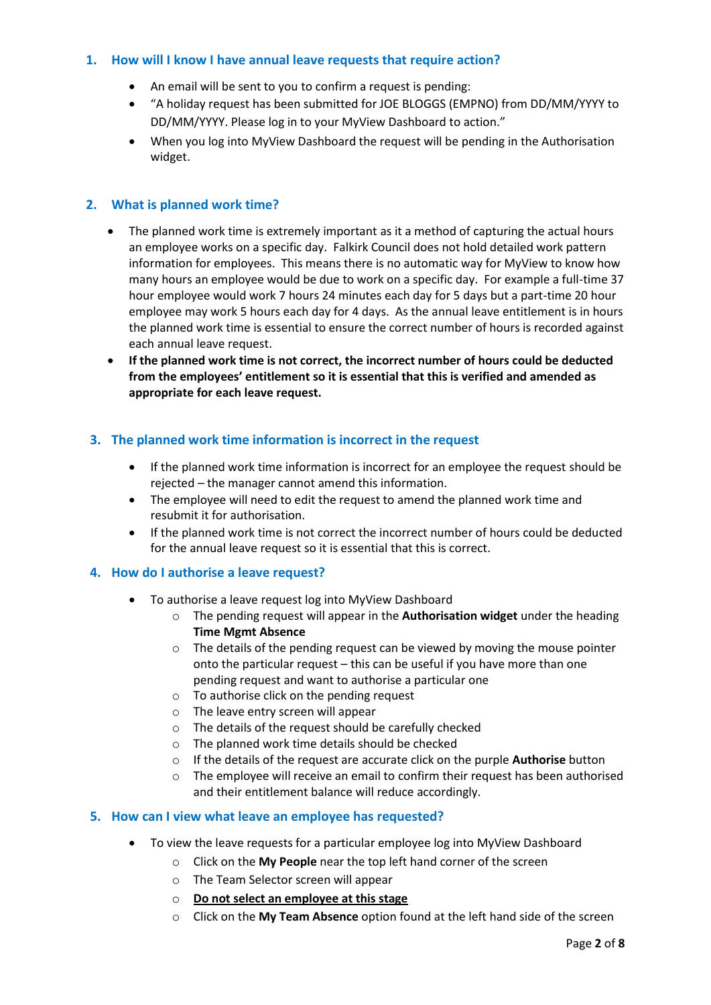### <span id="page-1-0"></span>**1. How will I know I have annual leave requests that require action?**

- An email will be sent to you to confirm a request is pending:
- "A holiday request has been submitted for JOE BLOGGS (EMPNO) from DD/MM/YYYY to DD/MM/YYYY. Please log in to your MyView Dashboard to action."
- When you log into MyView Dashboard the request will be pending in the Authorisation widget.

### <span id="page-1-1"></span>**2. What is planned work time?**

- The planned work time is extremely important as it a method of capturing the actual hours an employee works on a specific day.Falkirk Council does not hold detailed work pattern information for employees. This means there is no automatic way for MyView to know how many hours an employee would be due to work on a specific day. For example a full-time 37 hour employee would work 7 hours 24 minutes each day for 5 days but a part-time 20 hour employee may work 5 hours each day for 4 days. As the annual leave entitlement is in hours the planned work time is essential to ensure the correct number of hours is recorded against each annual leave request.
- **If the planned work time is not correct, the incorrect number of hours could be deducted from the employees' entitlement so it is essential that this is verified and amended as appropriate for each leave request.**

### <span id="page-1-2"></span>**3. The planned work time information is incorrect in the request**

- If the planned work time information is incorrect for an employee the request should be rejected – the manager cannot amend this information.
- The employee will need to edit the request to amend the planned work time and resubmit it for authorisation.
- If the planned work time is not correct the incorrect number of hours could be deducted for the annual leave request so it is essential that this is correct.

### <span id="page-1-3"></span>**4. How do I authorise a leave request?**

- To authorise a leave request log into MyView Dashboard
	- o The pending request will appear in the **Authorisation widget** under the heading **Time Mgmt Absence**
	- $\circ$  The details of the pending request can be viewed by moving the mouse pointer onto the particular request – this can be useful if you have more than one pending request and want to authorise a particular one
	- o To authorise click on the pending request
	- o The leave entry screen will appear
	- o The details of the request should be carefully checked
	- o The planned work time details should be checked
	- o If the details of the request are accurate click on the purple **Authorise** button
	- $\circ$  The employee will receive an email to confirm their request has been authorised and their entitlement balance will reduce accordingly.

### <span id="page-1-4"></span>**5. How can I view what leave an employee has requested?**

- To view the leave requests for a particular employee log into MyView Dashboard
	- o Click on the **My People** near the top left hand corner of the screen
	- o The Team Selector screen will appear
	- o **Do not select an employee at this stage**
	- o Click on the **My Team Absence** option found at the left hand side of the screen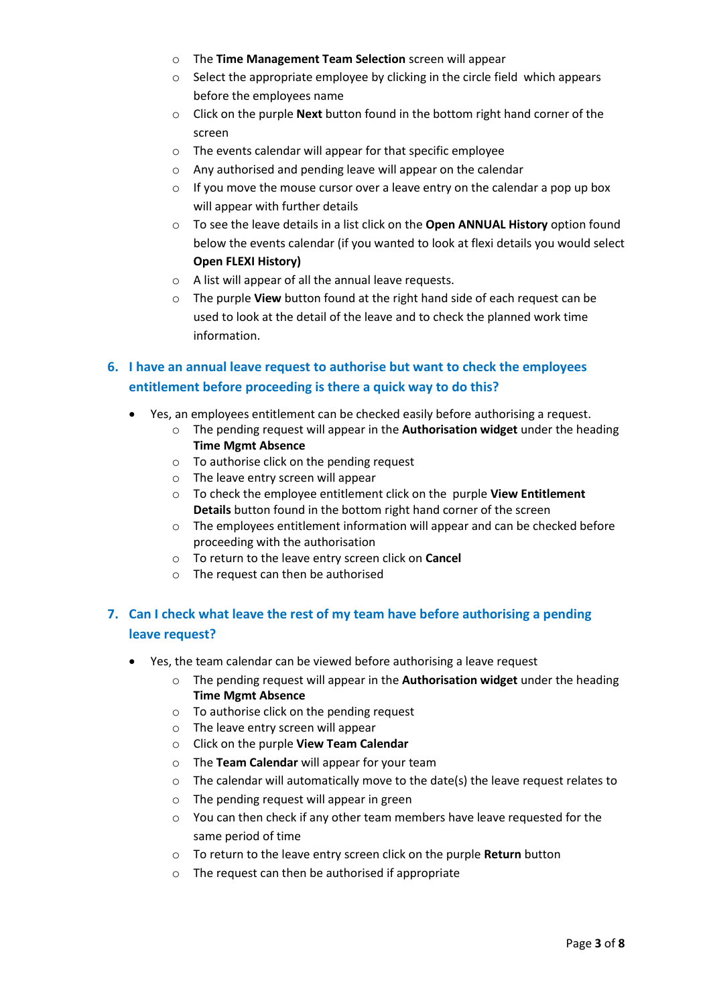- o The **Time Management Team Selection** screen will appear
- o Select the appropriate employee by clicking in the circle field which appears before the employees name
- o Click on the purple **Next** button found in the bottom right hand corner of the screen
- o The events calendar will appear for that specific employee
- o Any authorised and pending leave will appear on the calendar
- o If you move the mouse cursor over a leave entry on the calendar a pop up box will appear with further details
- o To see the leave details in a list click on the **Open ANNUAL History** option found below the events calendar (if you wanted to look at flexi details you would select **Open FLEXI History)**
- o A list will appear of all the annual leave requests.
- o The purple **View** button found at the right hand side of each request can be used to look at the detail of the leave and to check the planned work time information.

## <span id="page-2-0"></span>**6. I have an annual leave request to authorise but want to check the employees entitlement before proceeding is there a quick way to do this?**

- Yes, an employees entitlement can be checked easily before authorising a request.
	- o The pending request will appear in the **Authorisation widget** under the heading **Time Mgmt Absence**
	- o To authorise click on the pending request
	- o The leave entry screen will appear
	- o To check the employee entitlement click on the purple **View Entitlement Details** button found in the bottom right hand corner of the screen
	- o The employees entitlement information will appear and can be checked before proceeding with the authorisation
	- o To return to the leave entry screen click on **Cancel**
	- o The request can then be authorised

## <span id="page-2-1"></span>**7. Can I check what leave the rest of my team have before authorising a pending leave request?**

- Yes, the team calendar can be viewed before authorising a leave request
	- o The pending request will appear in the **Authorisation widget** under the heading **Time Mgmt Absence**
	- o To authorise click on the pending request
	- o The leave entry screen will appear
	- o Click on the purple **View Team Calendar**
	- o The **Team Calendar** will appear for your team
	- o The calendar will automatically move to the date(s) the leave request relates to
	- o The pending request will appear in green
	- $\circ$  You can then check if any other team members have leave requested for the same period of time
	- o To return to the leave entry screen click on the purple **Return** button
	- o The request can then be authorised if appropriate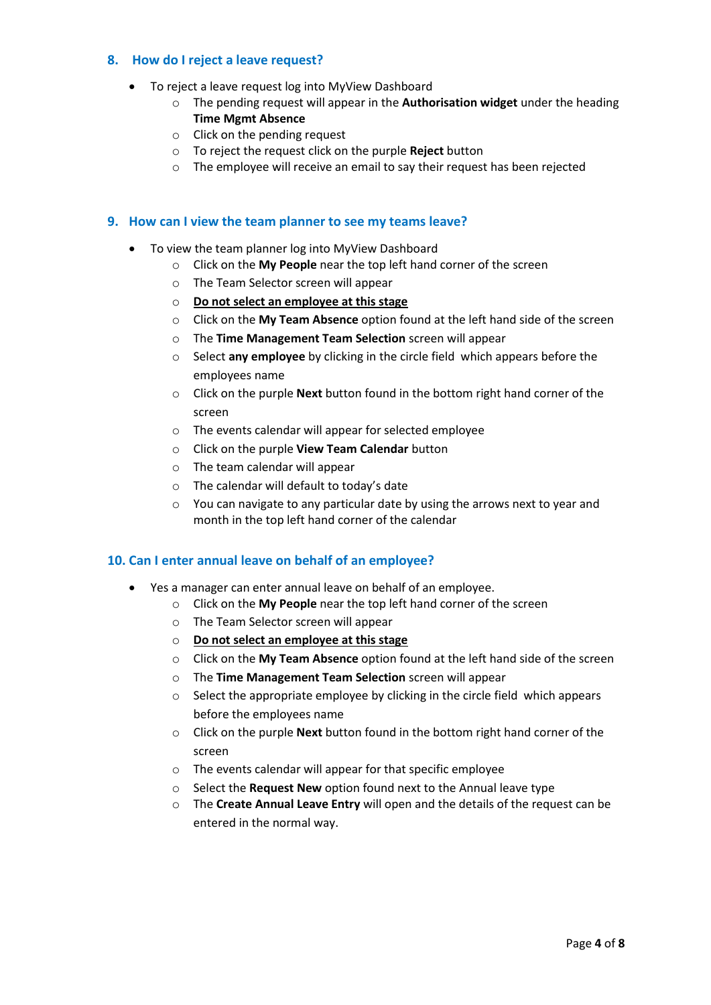#### <span id="page-3-0"></span>**8. How do I reject a leave request?**

- To reject a leave request log into MyView Dashboard
	- o The pending request will appear in the **Authorisation widget** under the heading **Time Mgmt Absence**
	- o Click on the pending request
	- o To reject the request click on the purple **Reject** button
	- o The employee will receive an email to say their request has been rejected

#### <span id="page-3-1"></span>**9. How can I view the team planner to see my teams leave?**

- To view the team planner log into MyView Dashboard
	- o Click on the **My People** near the top left hand corner of the screen
		- o The Team Selector screen will appear
		- o **Do not select an employee at this stage**
		- o Click on the **My Team Absence** option found at the left hand side of the screen
		- o The **Time Management Team Selection** screen will appear
		- o Select **any employee** by clicking in the circle field which appears before the employees name
		- o Click on the purple **Next** button found in the bottom right hand corner of the screen
		- o The events calendar will appear for selected employee
		- o Click on the purple **View Team Calendar** button
		- o The team calendar will appear
		- o The calendar will default to today's date
		- $\circ$  You can navigate to any particular date by using the arrows next to year and month in the top left hand corner of the calendar

### <span id="page-3-2"></span>**10. Can I enter annual leave on behalf of an employee?**

- Yes a manager can enter annual leave on behalf of an employee.
	- o Click on the **My People** near the top left hand corner of the screen
		- o The Team Selector screen will appear
		- o **Do not select an employee at this stage**
		- o Click on the **My Team Absence** option found at the left hand side of the screen
		- o The **Time Management Team Selection** screen will appear
		- o Select the appropriate employee by clicking in the circle field which appears before the employees name
		- o Click on the purple **Next** button found in the bottom right hand corner of the screen
		- o The events calendar will appear for that specific employee
		- o Select the **Request New** option found next to the Annual leave type
		- o The **Create Annual Leave Entry** will open and the details of the request can be entered in the normal way.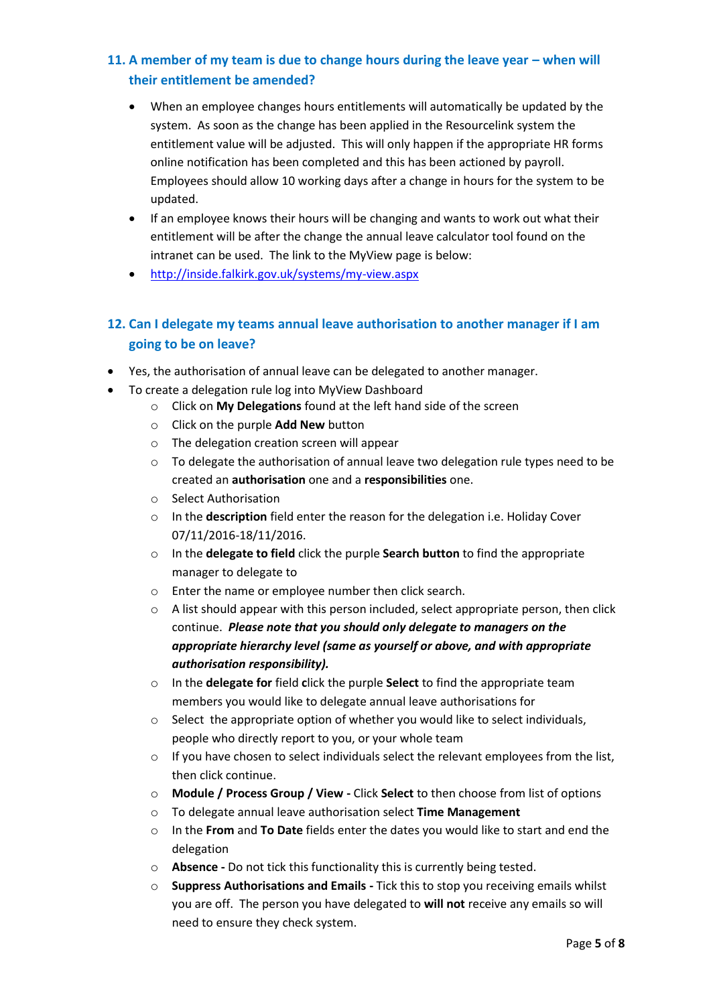## <span id="page-4-0"></span>**11. A member of my team is due to change hours during the leave year – when will their entitlement be amended?**

- When an employee changes hours entitlements will automatically be updated by the system. As soon as the change has been applied in the Resourcelink system the entitlement value will be adjusted. This will only happen if the appropriate HR forms online notification has been completed and this has been actioned by payroll. Employees should allow 10 working days after a change in hours for the system to be updated.
- If an employee knows their hours will be changing and wants to work out what their entitlement will be after the change the annual leave calculator tool found on the intranet can be used. The link to the MyView page is below:
- <http://inside.falkirk.gov.uk/systems/my-view.aspx>

# <span id="page-4-1"></span>**12. Can I delegate my teams annual leave authorisation to another manager if I am going to be on leave?**

- Yes, the authorisation of annual leave can be delegated to another manager.
- To create a delegation rule log into MyView Dashboard
	- o Click on **My Delegations** found at the left hand side of the screen
	- o Click on the purple **Add New** button
	- o The delegation creation screen will appear
	- $\circ$  To delegate the authorisation of annual leave two delegation rule types need to be created an **authorisation** one and a **responsibilities** one.
	- o Select Authorisation
	- o In the **description** field enter the reason for the delegation i.e. Holiday Cover 07/11/2016-18/11/2016.
	- o In the **delegate to field** click the purple **Search button** to find the appropriate manager to delegate to
	- o Enter the name or employee number then click search.
	- $\circ$  A list should appear with this person included, select appropriate person, then click continue. *Please note that you should only delegate to managers on the appropriate hierarchy level (same as yourself or above, and with appropriate authorisation responsibility).*
	- o In the **delegate for** field **c**lick the purple **Select** to find the appropriate team members you would like to delegate annual leave authorisations for
	- $\circ$  Select the appropriate option of whether you would like to select individuals, people who directly report to you, or your whole team
	- $\circ$  If you have chosen to select individuals select the relevant employees from the list, then click continue.
	- o **Module / Process Group / View -** Click **Select** to then choose from list of options
	- o To delegate annual leave authorisation select **Time Management**
	- o In the **From** and **To Date** fields enter the dates you would like to start and end the delegation
	- o **Absence -** Do not tick this functionality this is currently being tested.
	- o **Suppress Authorisations and Emails -** Tick this to stop you receiving emails whilst you are off. The person you have delegated to **will not** receive any emails so will need to ensure they check system.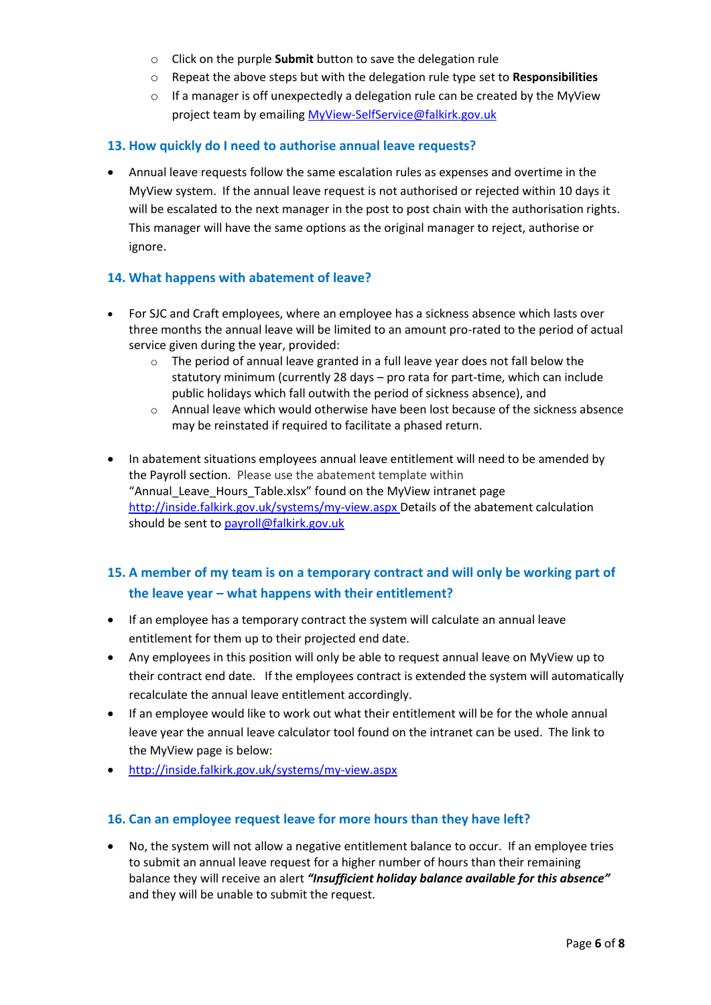- o Click on the purple **Submit** button to save the delegation rule
- o Repeat the above steps but with the delegation rule type set to **Responsibilities**
- $\circ$  If a manager is off unexpectedly a delegation rule can be created by the MyView project team by emailing [MyView-SelfService@falkirk.gov.uk](mailto:MyView-SelfService@falkirk.gov.uk)

#### <span id="page-5-0"></span>**13. How quickly do I need to authorise annual leave requests?**

 Annual leave requests follow the same escalation rules as expenses and overtime in the MyView system. If the annual leave request is not authorised or rejected within 10 days it will be escalated to the next manager in the post to post chain with the authorisation rights. This manager will have the same options as the original manager to reject, authorise or ignore.

#### <span id="page-5-1"></span>**14. What happens with abatement of leave?**

- For SJC and Craft employees, where an employee has a sickness absence which lasts over three months the annual leave will be limited to an amount pro-rated to the period of actual service given during the year, provided:
	- $\circ$  The period of annual leave granted in a full leave year does not fall below the statutory minimum (currently 28 days – pro rata for part-time, which can include public holidays which fall outwith the period of sickness absence), and
	- $\circ$  Annual leave which would otherwise have been lost because of the sickness absence may be reinstated if required to facilitate a phased return.
- In abatement situations employees annual leave entitlement will need to be amended by the Payroll section. Please use the abatement template within "Annual Leave Hours Table.xlsx" found on the MyView intranet page <http://inside.falkirk.gov.uk/systems/my-view.aspx> Details of the abatement calculation should be sent to [payroll@falkirk.gov.uk](mailto:payroll@falkirk.gov.uk)

# <span id="page-5-2"></span>**15. A member of my team is on a temporary contract and will only be working part of the leave year – what happens with their entitlement?**

- If an employee has a temporary contract the system will calculate an annual leave entitlement for them up to their projected end date.
- Any employees in this position will only be able to request annual leave on MyView up to their contract end date. If the employees contract is extended the system will automatically recalculate the annual leave entitlement accordingly.
- If an employee would like to work out what their entitlement will be for the whole annual leave year the annual leave calculator tool found on the intranet can be used. The link to the MyView page is below:
- <http://inside.falkirk.gov.uk/systems/my-view.aspx>

### <span id="page-5-3"></span>**16. Can an employee request leave for more hours than they have left?**

 No, the system will not allow a negative entitlement balance to occur. If an employee tries to submit an annual leave request for a higher number of hours than their remaining balance they will receive an alert *"Insufficient holiday balance available for this absence"* and they will be unable to submit the request.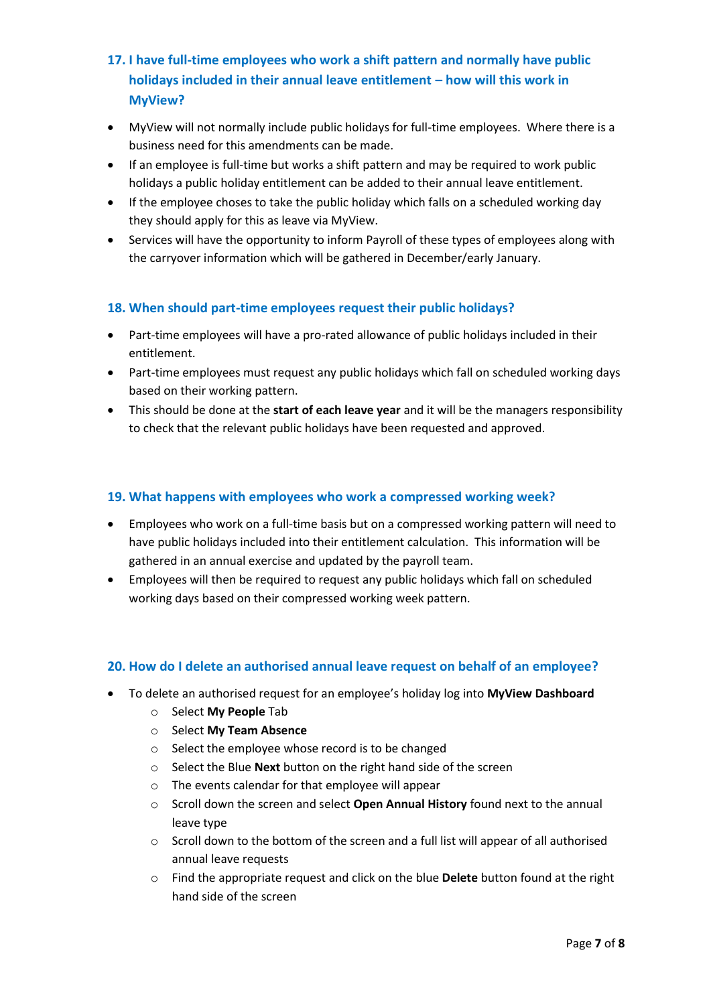- <span id="page-6-0"></span>**17. I have full-time employees who work a shift pattern and normally have public holidays included in their annual leave entitlement – how will this work in MyView?**
- MyView will not normally include public holidays for full-time employees. Where there is a business need for this amendments can be made.
- If an employee is full-time but works a shift pattern and may be required to work public holidays a public holiday entitlement can be added to their annual leave entitlement.
- If the employee choses to take the public holiday which falls on a scheduled working day they should apply for this as leave via MyView.
- Services will have the opportunity to inform Payroll of these types of employees along with the carryover information which will be gathered in December/early January.

### <span id="page-6-1"></span>**18. When should part-time employees request their public holidays?**

- Part-time employees will have a pro-rated allowance of public holidays included in their entitlement.
- Part-time employees must request any public holidays which fall on scheduled working days based on their working pattern.
- This should be done at the **start of each leave year** and it will be the managers responsibility to check that the relevant public holidays have been requested and approved.

### <span id="page-6-2"></span>**19. What happens with employees who work a compressed working week?**

- Employees who work on a full-time basis but on a compressed working pattern will need to have public holidays included into their entitlement calculation. This information will be gathered in an annual exercise and updated by the payroll team.
- Employees will then be required to request any public holidays which fall on scheduled working days based on their compressed working week pattern.

### <span id="page-6-3"></span>**20. How do I delete an authorised annual leave request on behalf of an employee?**

- To delete an authorised request for an employee's holiday log into **MyView Dashboard**
	- o Select **My People** Tab
	- o Select **My Team Absence**
	- o Select the employee whose record is to be changed
	- o Select the Blue **Next** button on the right hand side of the screen
	- o The events calendar for that employee will appear
	- o Scroll down the screen and select **Open Annual History** found next to the annual leave type
	- $\circ$  Scroll down to the bottom of the screen and a full list will appear of all authorised annual leave requests
	- o Find the appropriate request and click on the blue **Delete** button found at the right hand side of the screen